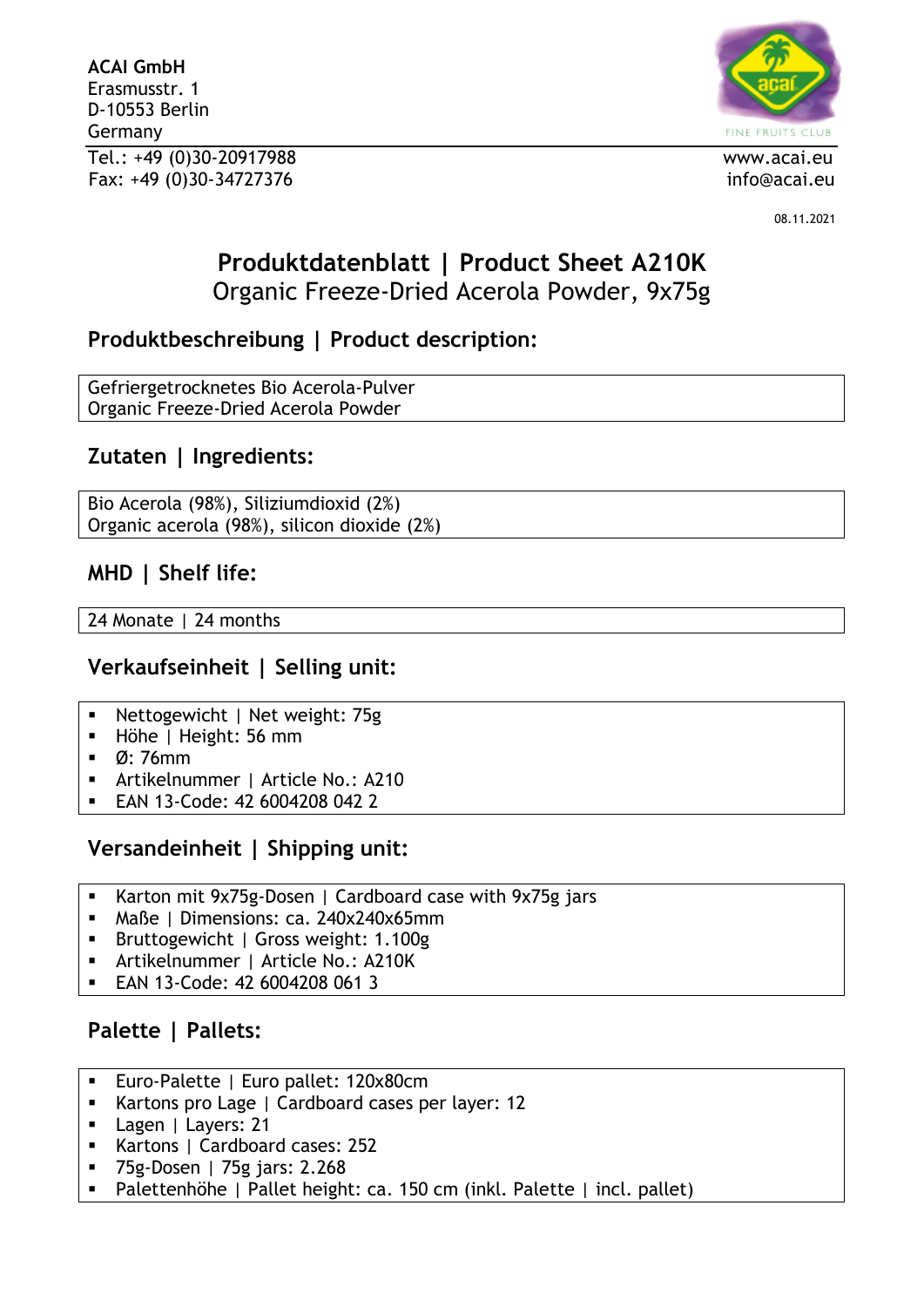**ACAI GmbH** Erasmusstr. 1 D-10553 Berlin Germany Tel.: +49 (0)30-20917988 www.acai.eu Fax: +49 (0)30-34727376 info@acai.eu



08.11.2021

# **Produktdatenblatt | Product Sheet A210K** Organic Freeze-Dried Acerola Powder, 9x75g

# **Produktbeschreibung | Product description:**

Gefriergetrocknetes Bio Acerola-Pulver Organic Freeze-Dried Acerola Powder

# **Zutaten | Ingredients:**

Bio Acerola (98%), Siliziumdioxid (2%) Organic acerola (98%), silicon dioxide (2%)

## **MHD | Shelf life:**

24 Monate | 24 months

## **Verkaufseinheit | Selling unit:**

- Nettogewicht | Net weight: 75g
- Höhe | Height: 56 mm
- Ø: 76mm
- Artikelnummer | Article No.: A210
- EAN 13-Code: 42 6004208 042 2

## **Versandeinheit | Shipping unit:**

- Karton mit 9x75g-Dosen | Cardboard case with 9x75g jars
- Maße | Dimensions: ca. 240x240x65mm
- Bruttogewicht | Gross weight: 1.100g
- Artikelnummer | Article No.: A210K
- EAN 13-Code: 42 6004208 061 3

# **Palette | Pallets:**

- **Euro-Palette | Euro pallet: 120x80cm**
- Kartons pro Lage | Cardboard cases per layer: 12
- Lagen | Layers: 21
- Kartons | Cardboard cases: 252
- 75g-Dosen | 75g jars: 2.268
- Palettenhöhe | Pallet height: ca. 150 cm (inkl. Palette | incl. pallet)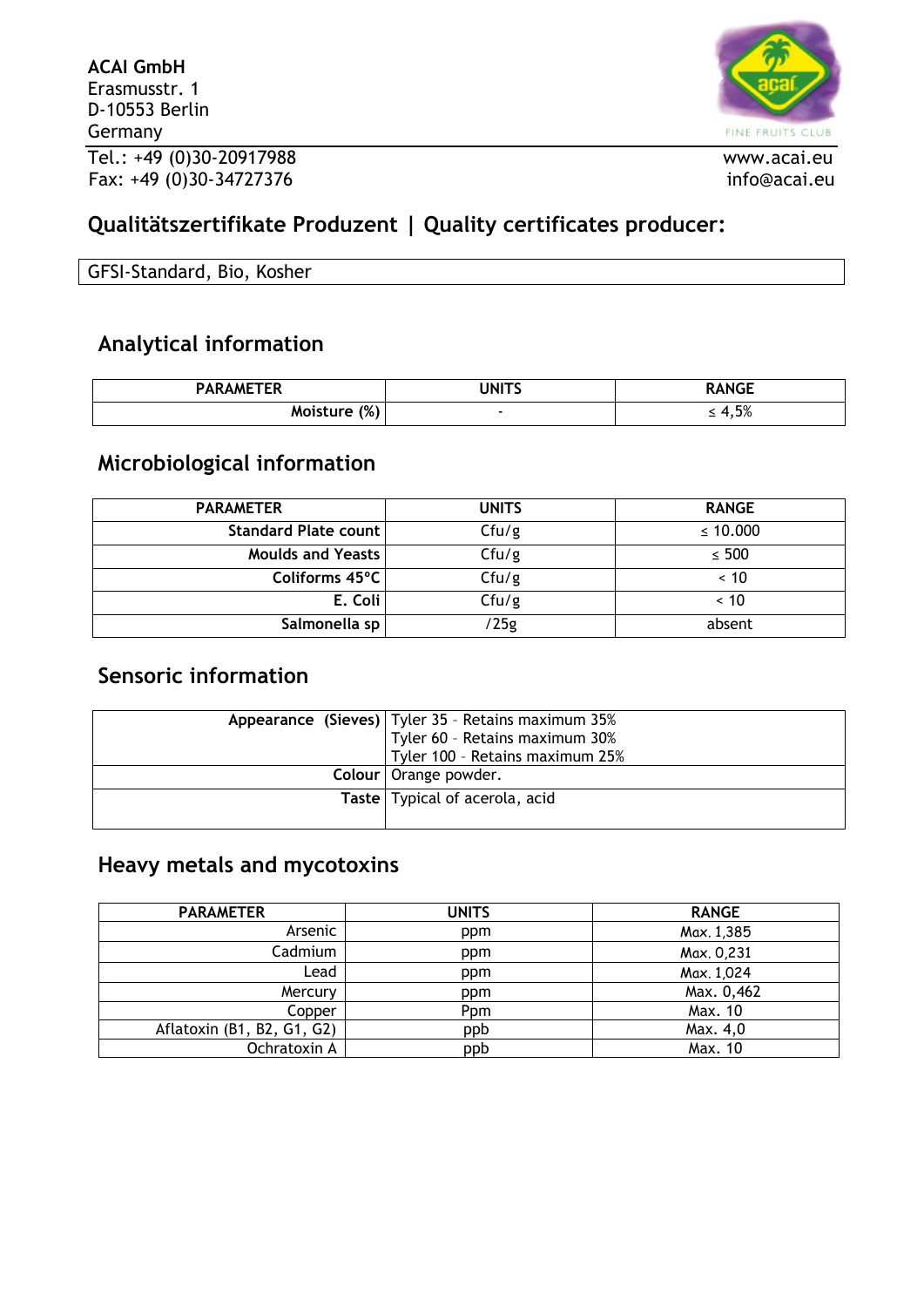

# **Qualitätszertifikate Produzent | Quality certificates producer:**

| GFSI-Standard, Bio, Kosher |  |
|----------------------------|--|
|                            |  |

# **Analytical information**

| <b>PARAMETER</b> | JNITS | RANGE                |
|------------------|-------|----------------------|
| (%)<br>Moisture  |       | E0/<br>0⁄ C , ا<br>- |

## **Microbiological information**

| <b>PARAMETER</b>         | <b>UNITS</b> | <b>RANGE</b>  |
|--------------------------|--------------|---------------|
| Standard Plate count     | Cfu/g        | $\leq 10.000$ |
| <b>Moulds and Yeasts</b> | Cfu/g        | $\leq 500$    |
| Coliforms 45°C           | Cfu/g        | ~< 10         |
| E. Coli                  | Cfu/g        | ~< 10         |
| Salmonella sp            | /25g         | absent        |

## **Sensoric information**

| Appearance (Sieves)   Tyler 35 - Retains maximum 35%<br>Tyler 60 - Retains maximum 30% |
|----------------------------------------------------------------------------------------|
| Tyler 100 - Retains maximum 25%                                                        |
| Colour   Orange powder.                                                                |
| Taste   Typical of acerola, acid                                                       |
|                                                                                        |

# **Heavy metals and mycotoxins**

| <b>PARAMETER</b>           | <b>UNITS</b> | <b>RANGE</b> |
|----------------------------|--------------|--------------|
| Arsenic                    | ppm          | Max. 1,385   |
| Cadmium                    | ppm          | Max. 0,231   |
| Lead                       | ppm          | Max. 1,024   |
| Mercury                    | ppm          | Max. 0,462   |
| Copper                     | Ppm          | Max. 10      |
| Aflatoxin (B1, B2, G1, G2) | ppb          | Max. 4,0     |
| Ochratoxin A               | ppb          | Max. 10      |